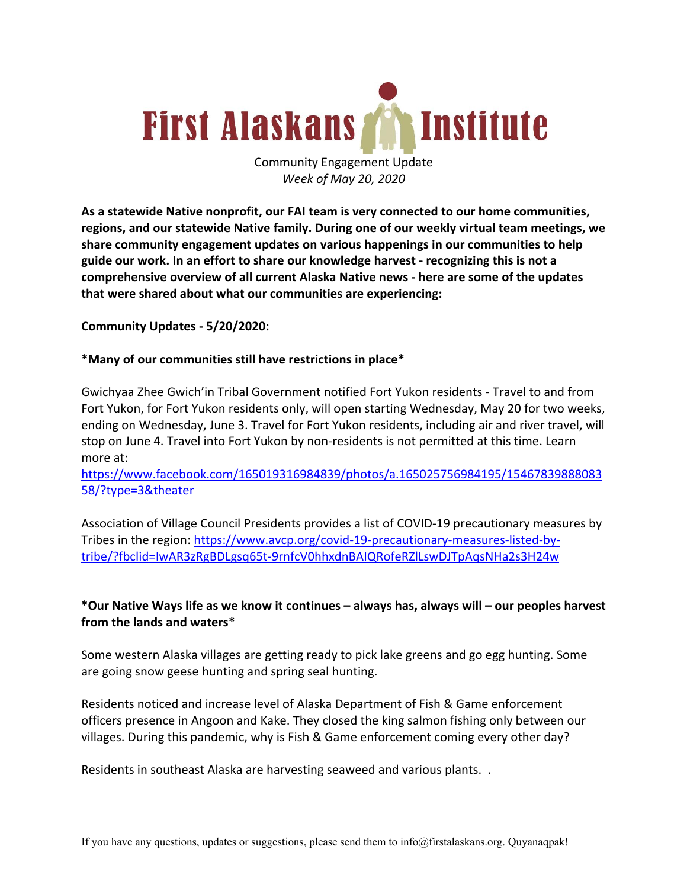

Community Engagement Update *Week of May 20, 2020*

**As a statewide Native nonprofit, our FAI team is very connected to our home communities, regions, and our statewide Native family. During one of our weekly virtual team meetings, we share community engagement updates on various happenings in our communities to help guide our work. In an effort to share our knowledge harvest - recognizing this is not a comprehensive overview of all current Alaska Native news - here are some of the updates that were shared about what our communities are experiencing:**

**Community Updates - 5/20/2020:**

#### **\*Many of our communities still have restrictions in place\***

Gwichyaa Zhee Gwich'in Tribal Government notified Fort Yukon residents - Travel to and from Fort Yukon, for Fort Yukon residents only, will open starting Wednesday, May 20 for two weeks, ending on Wednesday, June 3. Travel for Fort Yukon residents, including air and river travel, will stop on June 4. Travel into Fort Yukon by non-residents is not permitted at this time. Learn more at:

https://www.facebook.com/165019316984839/photos/a.165025756984195/15467839888083 58/?type=3&theater

Association of Village Council Presidents provides a list of COVID-19 precautionary measures by Tribes in the region: https://www.avcp.org/covid-19-precautionary-measures-listed-bytribe/?fbclid=IwAR3zRgBDLgsq65t-9rnfcV0hhxdnBAIQRofeRZlLswDJTpAqsNHa2s3H24w

# **\*Our Native Ways life as we know it continues – always has, always will – our peoples harvest from the lands and waters\***

Some western Alaska villages are getting ready to pick lake greens and go egg hunting. Some are going snow geese hunting and spring seal hunting.

Residents noticed and increase level of Alaska Department of Fish & Game enforcement officers presence in Angoon and Kake. They closed the king salmon fishing only between our villages. During this pandemic, why is Fish & Game enforcement coming every other day?

Residents in southeast Alaska are harvesting seaweed and various plants. .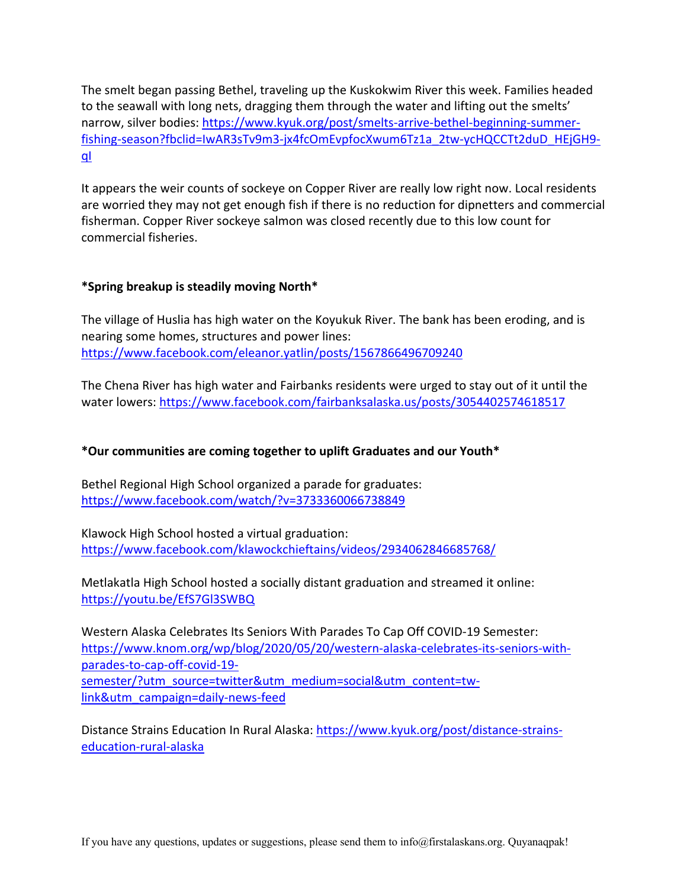The smelt began passing Bethel, traveling up the Kuskokwim River this week. Families headed to the seawall with long nets, dragging them through the water and lifting out the smelts' narrow, silver bodies: https://www.kyuk.org/post/smelts-arrive-bethel-beginning-summerfishing-season?fbclid=IwAR3sTv9m3-jx4fcOmEvpfocXwum6Tz1a\_2tw-ycHQCCTt2duD\_HEjGH9 qI

It appears the weir counts of sockeye on Copper River are really low right now. Local residents are worried they may not get enough fish if there is no reduction for dipnetters and commercial fisherman. Copper River sockeye salmon was closed recently due to this low count for commercial fisheries.

## **\*Spring breakup is steadily moving North\***

The village of Huslia has high water on the Koyukuk River. The bank has been eroding, and is nearing some homes, structures and power lines: https://www.facebook.com/eleanor.yatlin/posts/1567866496709240

The Chena River has high water and Fairbanks residents were urged to stay out of it until the water lowers: https://www.facebook.com/fairbanksalaska.us/posts/3054402574618517

## **\*Our communities are coming together to uplift Graduates and our Youth\***

Bethel Regional High School organized a parade for graduates: https://www.facebook.com/watch/?v=3733360066738849

Klawock High School hosted a virtual graduation: https://www.facebook.com/klawockchieftains/videos/2934062846685768/

Metlakatla High School hosted a socially distant graduation and streamed it online: https://youtu.be/EfS7Gl3SWBQ

Western Alaska Celebrates Its Seniors With Parades To Cap Off COVID-19 Semester: https://www.knom.org/wp/blog/2020/05/20/western-alaska-celebrates-its-seniors-withparades-to-cap-off-covid-19 semester/?utm\_source=twitter&utm\_medium=social&utm\_content=twlink&utm\_campaign=daily-news-feed

Distance Strains Education In Rural Alaska: https://www.kyuk.org/post/distance-strainseducation-rural-alaska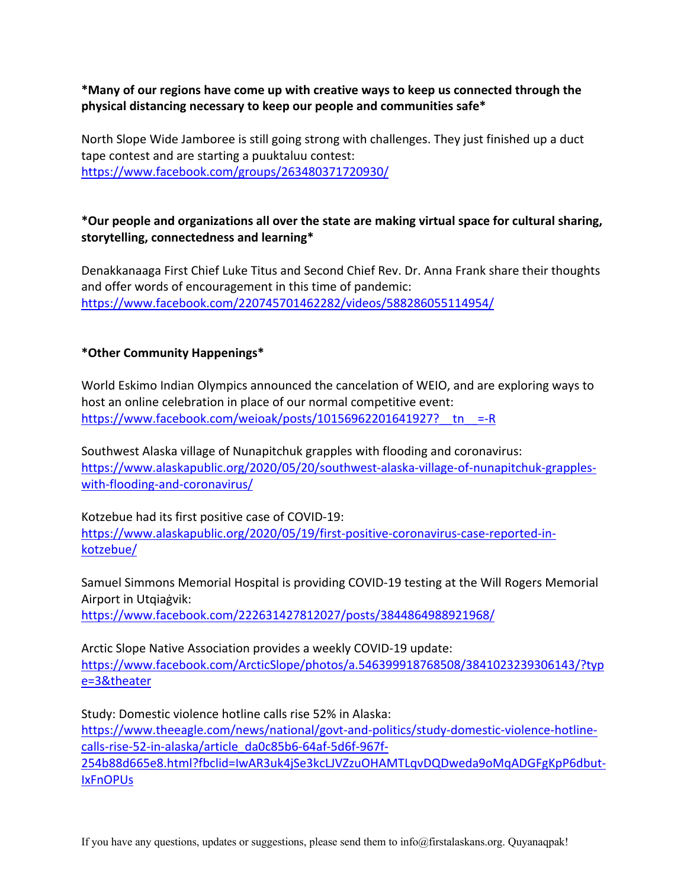**\*Many of our regions have come up with creative ways to keep us connected through the physical distancing necessary to keep our people and communities safe\***

North Slope Wide Jamboree is still going strong with challenges. They just finished up a duct tape contest and are starting a puuktaluu contest: https://www.facebook.com/groups/263480371720930/

# **\*Our people and organizations all over the state are making virtual space for cultural sharing, storytelling, connectedness and learning\***

Denakkanaaga First Chief Luke Titus and Second Chief Rev. Dr. Anna Frank share their thoughts and offer words of encouragement in this time of pandemic: https://www.facebook.com/220745701462282/videos/588286055114954/

## **\*Other Community Happenings\***

World Eskimo Indian Olympics announced the cancelation of WEIO, and are exploring ways to host an online celebration in place of our normal competitive event: https://www.facebook.com/weioak/posts/10156962201641927? $t_n$ =-R

Southwest Alaska village of Nunapitchuk grapples with flooding and coronavirus: https://www.alaskapublic.org/2020/05/20/southwest-alaska-village-of-nunapitchuk-grappleswith-flooding-and-coronavirus/

Kotzebue had its first positive case of COVID-19: https://www.alaskapublic.org/2020/05/19/first-positive-coronavirus-case-reported-inkotzebue/

Samuel Simmons Memorial Hospital is providing COVID-19 testing at the Will Rogers Memorial Airport in Utqiaġvik:

https://www.facebook.com/222631427812027/posts/3844864988921968/

Arctic Slope Native Association provides a weekly COVID-19 update: https://www.facebook.com/ArcticSlope/photos/a.546399918768508/3841023239306143/?typ e=3&theater

Study: Domestic violence hotline calls rise 52% in Alaska: https://www.theeagle.com/news/national/govt-and-politics/study-domestic-violence-hotlinecalls-rise-52-in-alaska/article\_da0c85b6-64af-5d6f-967f-254b88d665e8.html?fbclid=IwAR3uk4jSe3kcLJVZzuOHAMTLqvDQDweda9oMqADGFgKpP6dbut-IxFnOPUs